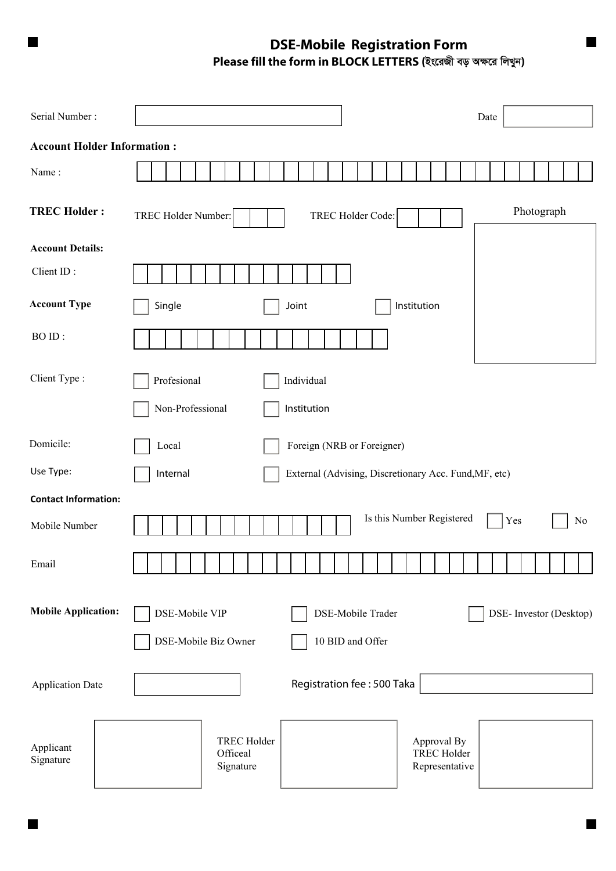**DSE-Mobile Registration Form**   $P$ lease fill the form in BLOCK LETTERS (ইংরেজী বড় অক্ষরে লিখুন)

 $\blacksquare$ 

 $\overline{\phantom{a}}$ 

| Serial Number:                     |                                                                                                    | Date                    |
|------------------------------------|----------------------------------------------------------------------------------------------------|-------------------------|
| <b>Account Holder Information:</b> |                                                                                                    |                         |
| Name:                              |                                                                                                    |                         |
| <b>TREC Holder:</b>                | TREC Holder Number:<br>TREC Holder Code:                                                           | Photograph              |
| <b>Account Details:</b>            |                                                                                                    |                         |
| Client ID:                         |                                                                                                    |                         |
| <b>Account Type</b>                | Single<br>Joint<br>Institution                                                                     |                         |
| BO ID:                             |                                                                                                    |                         |
| Client Type:                       | Profesional<br>Individual                                                                          |                         |
|                                    | Non-Professional<br>Institution                                                                    |                         |
| Domicile:                          | Foreign (NRB or Foreigner)<br>Local                                                                |                         |
| Use Type:                          | Internal<br>External (Advising, Discretionary Acc. Fund, MF, etc)                                  |                         |
| <b>Contact Information:</b>        |                                                                                                    |                         |
| Mobile Number                      | Is this Number Registered                                                                          | Yes<br>N <sub>0</sub>   |
| Email                              |                                                                                                    |                         |
| <b>Mobile Application:</b>         | DSE-Mobile VIP<br>DSE-Mobile Trader<br>DSE-Mobile Biz Owner<br>10 BID and Offer                    | DSE- Investor (Desktop) |
| <b>Application Date</b>            | Registration fee: 500 Taka                                                                         |                         |
| Applicant<br>Signature             | <b>TREC Holder</b><br>Approval By<br><b>TREC Holder</b><br>Officeal<br>Signature<br>Representative |                         |

ı